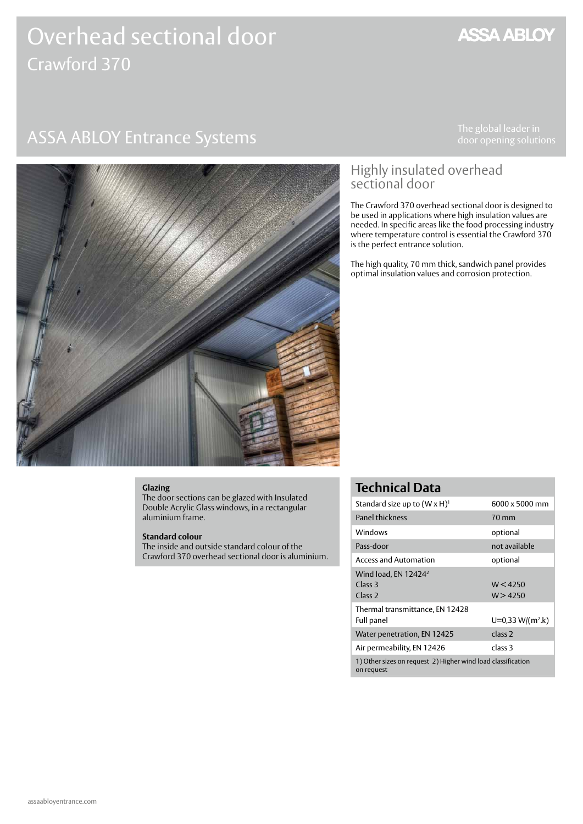# Overhead sectional door Crawford 370

# ASSA ABLOY Entrance Systems The global leader in

**ASSA ABLOY** 



### Highly insulated overhead sectional door

The Crawford 370 overhead sectional door is designed to be used in applications where high insulation values are needed. In specific areas like the food processing industry where temperature control is essential the Crawford 370 is the perfect entrance solution.

The high quality, 70 mm thick, sandwich panel provides optimal insulation values and corrosion protection.

#### **Glazing**

The door sections can be glazed with Insulated Double Acrylic Glass windows, in a rectangular aluminium frame.

#### **Standard colour**

The inside and outside standard colour of the Crawford 370 overhead sectional door is aluminium.

### **Technical Data**

| Standard size up to $(W \times H)^1$                                         | 6000 x 5000 mm       |
|------------------------------------------------------------------------------|----------------------|
| <b>Panel thickness</b>                                                       | $70 \,\mathrm{mm}$   |
| Windows                                                                      | optional             |
| Pass-door                                                                    | not available        |
| <b>Access and Automation</b>                                                 | optional             |
| Wind load, EN 12424 <sup>2</sup><br>Class <sub>3</sub><br>Class <sub>2</sub> | W < 4250<br>W > 4250 |
| Thermal transmittance, EN 12428<br>Full panel                                | $U=0.33 W/(m^2.k)$   |
| Water penetration, EN 12425                                                  | class <sub>2</sub>   |
| Air permeability, EN 12426                                                   | class 3              |
| 1) Other sizes on request 2) Higher wind load classification<br>on request   |                      |